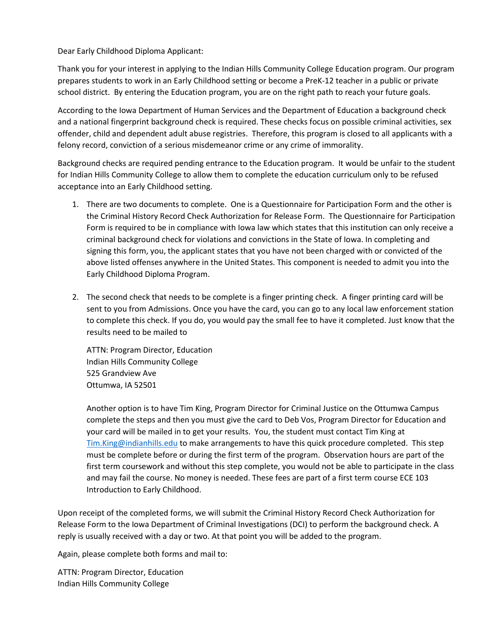Dear Early Childhood Diploma Applicant:

Thank you for your interest in applying to the Indian Hills Community College Education program. Our program prepares students to work in an Early Childhood setting or become a PreK-12 teacher in a public or private school district. By entering the Education program, you are on the right path to reach your future goals.

According to the Iowa Department of Human Services and the Department of Education a background check and a national fingerprint background check is required. These checks focus on possible criminal activities, sex offender, child and dependent adult abuse registries. Therefore, this program is closed to all applicants with a felony record, conviction of a serious misdemeanor crime or any crime of immorality.

Background checks are required pending entrance to the Education program. It would be unfair to the student for Indian Hills Community College to allow them to complete the education curriculum only to be refused acceptance into an Early Childhood setting.

- 1. There are two documents to complete. One is a Questionnaire for Participation Form and the other is the Criminal History Record Check Authorization for Release Form. The Questionnaire for Participation Form is required to be in compliance with Iowa law which states that this institution can only receive a criminal background check for violations and convictions in the State of Iowa. In completing and signing this form, you, the applicant states that you have not been charged with or convicted of the above listed offenses anywhere in the United States. This component is needed to admit you into the Early Childhood Diploma Program.
- 2. The second check that needs to be complete is a finger printing check. A finger printing card will be sent to you from Admissions. Once you have the card, you can go to any local law enforcement station to complete this check. If you do, you would pay the small fee to have it completed. Just know that the results need to be mailed to

ATTN: Program Director, Education Indian Hills Community College 525 Grandview Ave Ottumwa, IA 52501

Another option is to have Tim King, Program Director for Criminal Justice on the Ottumwa Campus complete the steps and then you must give the card to Deb Vos, Program Director for Education and your card will be mailed in to get your results. You, the student must contact Tim King at [Tim.King@indianhills.edu](mailto:Tim.King@indianhills.edu) to make arrangements to have this quick procedure completed. This step must be complete before or during the first term of the program. Observation hours are part of the first term coursework and without this step complete, you would not be able to participate in the class and may fail the course. No money is needed. These fees are part of a first term course ECE 103 Introduction to Early Childhood.

Upon receipt of the completed forms, we will submit the Criminal History Record Check Authorization for Release Form to the Iowa Department of Criminal Investigations (DCI) to perform the background check. A reply is usually received with a day or two. At that point you will be added to the program.

Again, please complete both forms and mail to:

ATTN: Program Director, Education Indian Hills Community College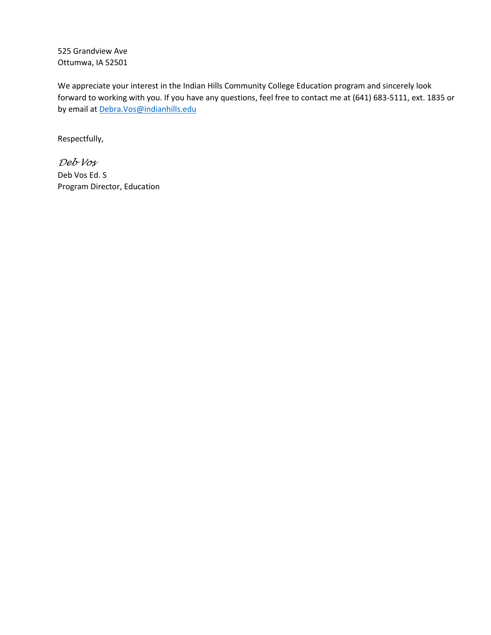525 Grandview Ave Ottumwa, IA 52501

We appreciate your interest in the Indian Hills Community College Education program and sincerely look forward to working with you. If you have any questions, feel free to contact me at (641) 683-5111, ext. 1835 or by email at [Debra.Vos@indianhills.edu](mailto:Debra.Vos@indianhills.edu)

Respectfully,

*Deb Vos* Deb Vos Ed. S Program Director, Education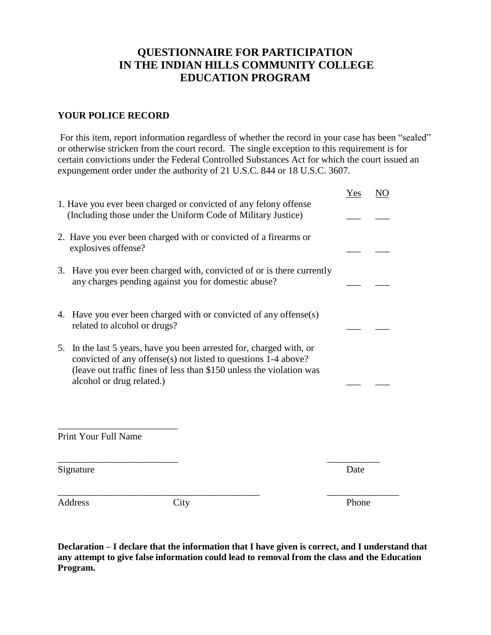## **QUESTIONNAIRE FOR PARTICIPATION IN THE INDIAN HILLS COMMUNITY COLLEGE EDUCATION PROGRAM**

## **YOUR POLICE RECORD**

For this item, report information regardless of whether the record in your case has been "sealed" or otherwise stricken from the court record. The single exception to this requirement is for certain convictions under the Federal Controlled Substances Act for which the court issued an expungement order under the authority of 21 U.S.C. 844 or 18 U.S.C. 3607.

|                                                                                                                                                                                                                                                | Yes<br>NO |
|------------------------------------------------------------------------------------------------------------------------------------------------------------------------------------------------------------------------------------------------|-----------|
| 1. Have you ever been charged or convicted of any felony offense<br>(Including those under the Uniform Code of Military Justice)                                                                                                               |           |
| 2. Have you ever been charged with or convicted of a firearms or<br>explosives offense?                                                                                                                                                        |           |
| 3. Have you ever been charged with, convicted of or is there currently<br>any charges pending against you for domestic abuse?                                                                                                                  |           |
| 4. Have you ever been charged with or convicted of any offense(s)<br>related to alcohol or drugs?                                                                                                                                              |           |
| In the last 5 years, have you been arrested for, charged with, or<br>5.<br>convicted of any offense(s) not listed to questions 1-4 above?<br>(leave out traffic fines of less than \$150 unless the violation was<br>alcohol or drug related.) |           |
| Print Your Full Name                                                                                                                                                                                                                           |           |
| Signature                                                                                                                                                                                                                                      | Date      |
| <b>Address</b><br>City                                                                                                                                                                                                                         | Phone     |

**Declaration – I declare that the information that I have given is correct, and I understand that any attempt to give false information could lead to removal from the class and the Education Program.**